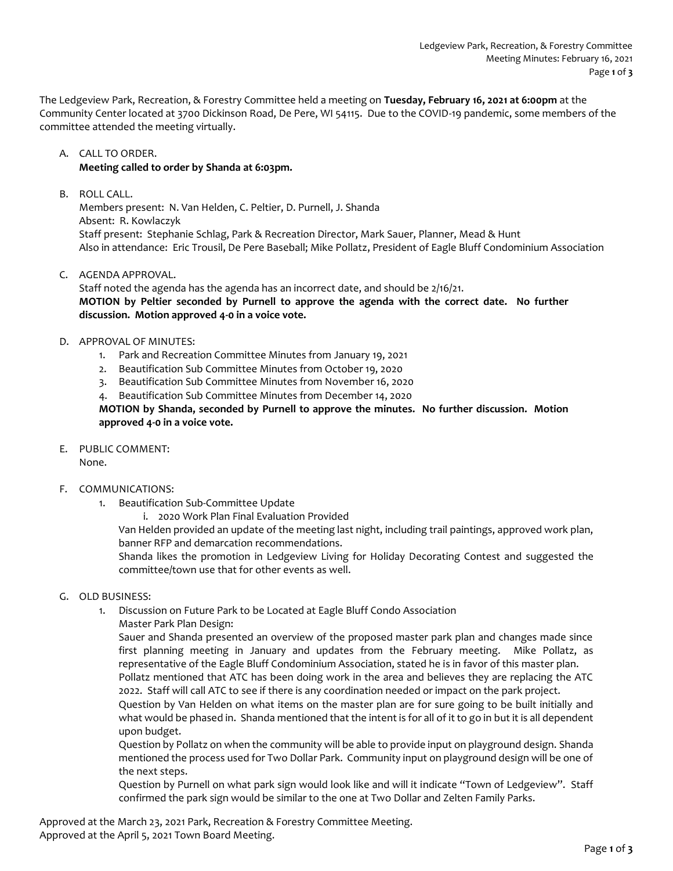The Ledgeview Park, Recreation, & Forestry Committee held a meeting on **Tuesday, February 16, 2021 at 6:00pm** at the Community Center located at 3700 Dickinson Road, De Pere, WI 54115. Due to the COVID-19 pandemic, some members of the committee attended the meeting virtually.

## A. CALL TO ORDER. **Meeting called to order by Shanda at 6:03pm.**

B. ROLL CALL.

Members present: N. Van Helden, C. Peltier, D. Purnell, J. Shanda Absent: R. Kowlaczyk Staff present: Stephanie Schlag, Park & Recreation Director, Mark Sauer, Planner, Mead & Hunt Also in attendance: Eric Trousil, De Pere Baseball; Mike Pollatz, President of Eagle Bluff Condominium Association

## C. AGENDA APPROVAL.

Staff noted the agenda has the agenda has an incorrect date, and should be 2/16/21. **MOTION by Peltier seconded by Purnell to approve the agenda with the correct date. No further discussion. Motion approved 4-0 in a voice vote.** 

### D. APPROVAL OF MINUTES:

- 1. Park and Recreation Committee Minutes from January 19, 2021
- 2. Beautification Sub Committee Minutes from October 19, 2020
- 3. Beautification Sub Committee Minutes from November 16, 2020

4. Beautification Sub Committee Minutes from December 14, 2020 **MOTION by Shanda, seconded by Purnell to approve the minutes. No further discussion. Motion approved 4-0 in a voice vote.** 

E. PUBLIC COMMENT:

None.

# F. COMMUNICATIONS:

- 1. Beautification Sub-Committee Update
	- i. 2020 Work Plan Final Evaluation Provided

Van Helden provided an update of the meeting last night, including trail paintings, approved work plan, banner RFP and demarcation recommendations.

Shanda likes the promotion in Ledgeview Living for Holiday Decorating Contest and suggested the committee/town use that for other events as well.

- G. OLD BUSINESS:
	- 1. Discussion on Future Park to be Located at Eagle Bluff Condo Association
		- Master Park Plan Design:

Sauer and Shanda presented an overview of the proposed master park plan and changes made since first planning meeting in January and updates from the February meeting. Mike Pollatz, as representative of the Eagle Bluff Condominium Association, stated he is in favor of this master plan.

Pollatz mentioned that ATC has been doing work in the area and believes they are replacing the ATC 2022. Staff will call ATC to see if there is any coordination needed or impact on the park project.

Question by Van Helden on what items on the master plan are for sure going to be built initially and what would be phased in. Shanda mentioned that the intent is for all of it to go in but it is all dependent upon budget.

Question by Pollatz on when the community will be able to provide input on playground design. Shanda mentioned the process used for Two Dollar Park. Community input on playground design will be one of the next steps.

Question by Purnell on what park sign would look like and will it indicate "Town of Ledgeview". Staff confirmed the park sign would be similar to the one at Two Dollar and Zelten Family Parks.

Approved at the March 23, 2021 Park, Recreation & Forestry Committee Meeting. Approved at the April 5, 2021 Town Board Meeting.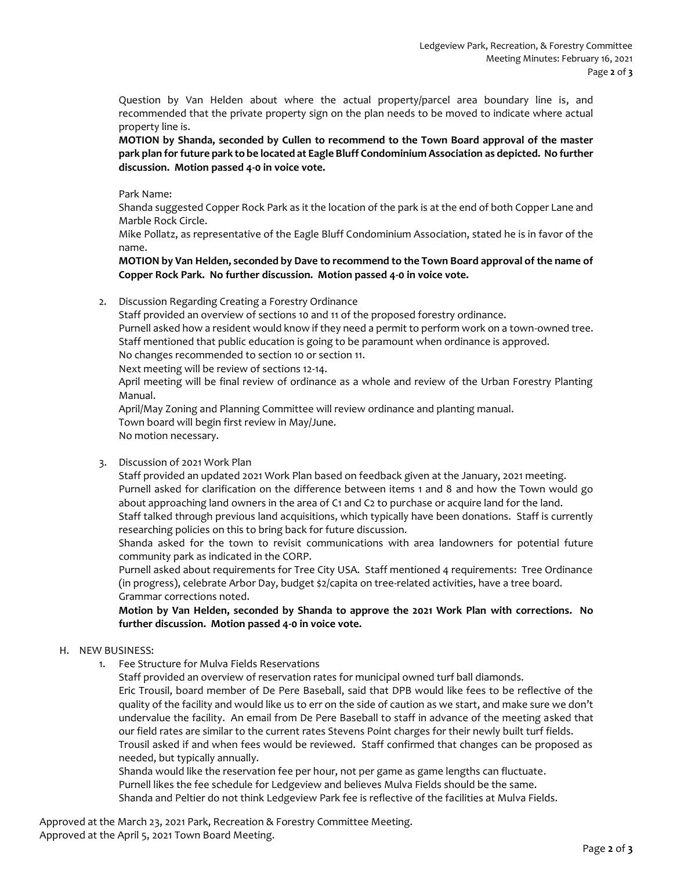Question by Van Helden about where the actual property/parcel area boundary line is, and recommended that the private property sign on the plan needs to be moved to indicate where actual property line is.

**MOTION by Shanda, seconded by Cullen to recommend to the Town Board approval of the master park plan for future park to be located at Eagle Bluff Condominium Association as depicted. No further discussion. Motion passed 4-0 in voice vote.**

Park Name:

Shanda suggested Copper Rock Park as it the location of the park is at the end of both Copper Lane and Marble Rock Circle.

Mike Pollatz, as representative of the Eagle Bluff Condominium Association, stated he is in favor of the name.

**MOTION by Van Helden, seconded by Dave to recommend to the Town Board approval of the name of Copper Rock Park. No further discussion. Motion passed 4-0 in voice vote.**

2. Discussion Regarding Creating a Forestry Ordinance

Staff provided an overview of sections 10 and 11 of the proposed forestry ordinance.

Purnell asked how a resident would know if they need a permit to perform work on a town-owned tree. Staff mentioned that public education is going to be paramount when ordinance is approved.

No changes recommended to section 10 or section 11.

Next meeting will be review of sections 12-14.

April meeting will be final review of ordinance as a whole and review of the Urban Forestry Planting Manual.

April/May Zoning and Planning Committee will review ordinance and planting manual. Town board will begin first review in May/June. No motion necessary.

3. Discussion of 2021 Work Plan

Staff provided an updated 2021 Work Plan based on feedback given at the January, 2021 meeting. Purnell asked for clarification on the difference between items 1 and 8 and how the Town would go about approaching land owners in the area of C1 and C2 to purchase or acquire land for the land. Staff talked through previous land acquisitions, which typically have been donations. Staff is currently researching policies on this to bring back for future discussion.

Shanda asked for the town to revisit communications with area landowners for potential future community park as indicated in the CORP.

Purnell asked about requirements for Tree City USA. Staff mentioned 4 requirements: Tree Ordinance (in progress), celebrate Arbor Day, budget \$2/capita on tree-related activities, have a tree board. Grammar corrections noted.

**Motion by Van Helden, seconded by Shanda to approve the 2021 Work Plan with corrections. No further discussion. Motion passed 4-0 in voice vote.**

### H. NEW BUSINESS:

1. Fee Structure for Mulva Fields Reservations

Staff provided an overview of reservation rates for municipal owned turf ball diamonds. Eric Trousil, board member of De Pere Baseball, said that DPB would like fees to be reflective of the quality of the facility and would like us to err on the side of caution as we start, and make sure we don't undervalue the facility. An email from De Pere Baseball to staff in advance of the meeting asked that our field rates are similar to the current rates Stevens Point charges for their newly built turf fields. Trousil asked if and when fees would be reviewed. Staff confirmed that changes can be proposed as needed, but typically annually.

Shanda would like the reservation fee per hour, not per game as game lengths can fluctuate. Purnell likes the fee schedule for Ledgeview and believes Mulva Fields should be the same. Shanda and Peltier do not think Ledgeview Park fee is reflective of the facilities at Mulva Fields.

Approved at the March 23, 2021 Park, Recreation & Forestry Committee Meeting. Approved at the April 5, 2021 Town Board Meeting.